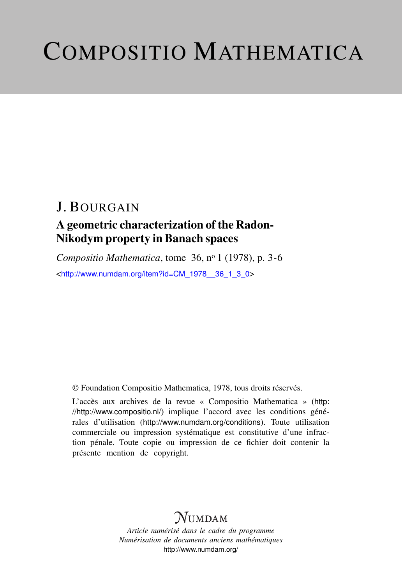# COMPOSITIO MATHEMATICA

# J. BOURGAIN

## A geometric characterization of the Radon-Nikodym property in Banach spaces

*Compositio Mathematica*, tome 36, n<sup>o</sup> 1 (1978), p. 3-6 <[http://www.numdam.org/item?id=CM\\_1978\\_\\_36\\_1\\_3\\_0](http://www.numdam.org/item?id=CM_1978__36_1_3_0)>

© Foundation Compositio Mathematica, 1978, tous droits réservés.

L'accès aux archives de la revue « Compositio Mathematica » ([http:](http://http://www.compositio.nl/) [//http://www.compositio.nl/](http://http://www.compositio.nl/)) implique l'accord avec les conditions générales d'utilisation (<http://www.numdam.org/conditions>). Toute utilisation commerciale ou impression systématique est constitutive d'une infraction pénale. Toute copie ou impression de ce fichier doit contenir la présente mention de copyright.

# $N$ UMDAM

*Article numérisé dans le cadre du programme Numérisation de documents anciens mathématiques* <http://www.numdam.org/>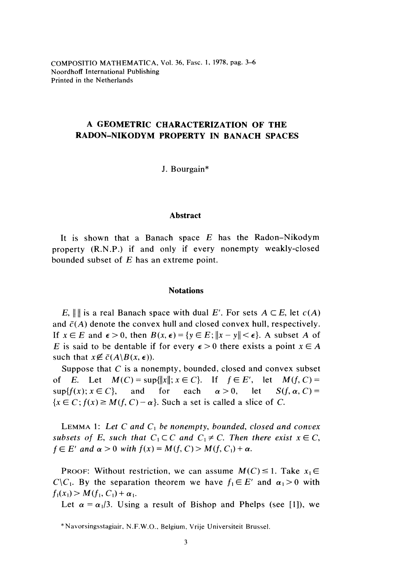COMPOSITIO MATHEMATICA, Vol. 36, Fasc. 1, 1978, pag. 3-6 Noordhoff International Publishing Printed in the Netherlands

## A GEOMETRIC CHARACTERIZATION OF THE RADON-NIKODYM PROPERTY IN BANACH SPACES

J. Bourgain\*

## Abstract

It is shown that a Banach space  $E$  has the Radon-Nikodym property (R.N.P.) if and only if every nonempty weakly-closed bounded subset of E has an extreme point.

### **Notations**

E,  $\| \cdot \|$  is a real Banach space with dual E'. For sets  $A \subset E$ , let  $c(A)$ and  $\bar{c}(A)$  denote the convex hull and closed convex hull, respectively. If  $x \in E$  and  $\epsilon > 0$ , then  $B(x, \epsilon) = \{y \in E : ||x - y|| < \epsilon\}$ . A subset A of E is said to be dentable if for every  $\epsilon > 0$  there exists a point  $x \in A$ such that  $x \notin \bar{c}(A|B(x, \epsilon))$ .

Suppose that  $C$  is a nonempty, bounded, closed and convex subset of E. Let  $M(C) = \sup{\{|x|; x \in C\}}$ . If  $f \in E'$ , let  $M(f, C) =$  $\sup\{f(x); x \in C\}$ , and for each  $\alpha > 0$ .  $let$  $S(f, \alpha, C)$  =  $\{x \in C; f(x) \geq M(f, C) - \alpha\}$ . Such a set is called a slice of C.

LEMMA 1: Let C and  $C_1$  be nonempty, bounded, closed and convex subsets of E, such that  $C_1 \subset C$  and  $C_1 \neq C$ . Then there exist  $x \in C$ ,  $f \in E'$  and  $\alpha > 0$  with  $f(x) = M(f, C) > M(f, C_1) + \alpha$ .

PROOF: Without restriction, we can assume  $M(C) \leq 1$ . Take  $x_1 \in$  $C\setminus C_1$ . By the separation theorem we have  $f_1 \in E'$  and  $\alpha_1 > 0$  with  $f_1(x_1) > M(f_1, C_1) + \alpha_1.$ 

Let  $\alpha = \alpha_1/3$ . Using a result of Bishop and Phelps (see [1]), we

<sup>\*</sup> Navorsingsstagiair, N.F.W.O., Belgium, Vrije Universiteit Brussel.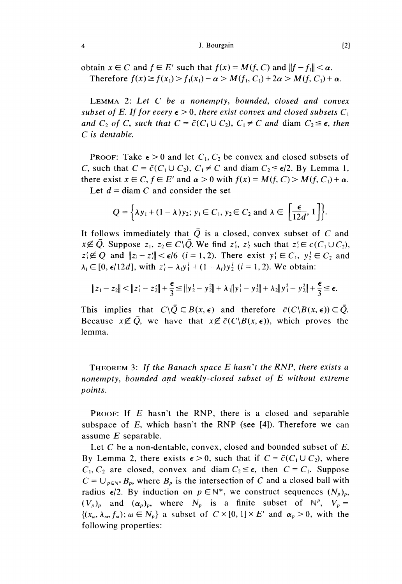J. Bourgain

obtain  $x \in C$  and  $f \in E'$  such that  $f(x) = M(f, C)$  and  $||f - f|| < \alpha$ . Therefore  $f(x) \ge f(x_1) > f_1(x_1) - \alpha > M(f_1, C_1) + 2\alpha > M(f, C_1) + \alpha$ .

LEMMA 2: Let C be a nonempty, bounded, closed and convex subset of E. If for every  $\epsilon > 0$ , there exist convex and closed subsets  $C_1$ and  $C_2$  of C, such that  $C = \bar{c}(C_1 \cup C_2)$ ,  $C_1 \neq C$  and diam  $C_2 \leq \epsilon$ , then C is dentable.

**PROOF:** Take  $\epsilon > 0$  and let  $C_1$ ,  $C_2$  be convex and closed subsets of C, such that  $C = \overline{c}(C_1 \cup C_2)$ ,  $C_1 \neq C$  and diam  $C_2 \leq \epsilon/2$ . By Lemma 1, there exist  $x \in C$ ,  $f \in E'$  and  $\alpha > 0$  with  $f(x) = M(f, C) > M(f, C_1) + \alpha$ . Let  $d = \text{diam } C$  and consider the set

$$
Q = \Big\{ \lambda y_1 + (1 - \lambda) y_2; \, y_1 \in C_1, \, y_2 \in C_2 \text{ and } \lambda \in \left[ \frac{\epsilon}{12d}, \, 1 \right] \Big\}.
$$

It follows immediately that  $\overline{Q}$  is a closed, convex subset of C and  $x \notin \overline{Q}$ . Suppose  $z_1, z_2 \in C \setminus \overline{Q}$ . We find  $z'_1, z'_2$  such that  $z'_i \in c(C_1 \cup C_2)$ ,  $z_i \notin Q$  and  $||z_i - z_i|| < \epsilon/6$   $(i = 1, 2)$ . There exist  $y_i^i \in C_1$ ,  $y_2^i \in C_2$  and  $\lambda_i \in [0, \epsilon/12d]$ , with  $z_i = \lambda_i y_1^i + (1 - \lambda_i) y_2^i$  ( $i = 1, 2$ ). We obtain:

$$
||z_1 - z_2|| < ||z_1' - z_2|| + \frac{\epsilon}{3} \le ||y_2' - y_2|| + \lambda_1 ||y_1' - y_2|| + \lambda_2 ||y_1^2 - y_2|| + \frac{\epsilon}{3} \le \epsilon.
$$

This implies that  $C\setminus \overline{Q} \subset B(x, \epsilon)$  and therefore  $\overline{C}(C\setminus B(x, \epsilon)) \subset \overline{Q}$ . Because  $x \notin \overline{O}$ , we have that  $x \notin \overline{C}(C|B(x, \epsilon))$ , which proves the lemma.

THEOREM 3: If the Banach space E hasn't the RNP, there exists a nonempty, bounded and weakly-closed subset of E without extreme points.

PROOF: If E hasn't the RNP, there is a closed and separable subspace of  $E$ , which hasn't the RNP (see [4]). Therefore we can assume  $E$  separable.

Let C be a non-dentable, convex, closed and bounded subset of E. By Lemma 2, there exists  $\epsilon > 0$ , such that if  $C = \bar{c}(C_1 \cup C_2)$ , where  $C_1, C_2$  are closed, convex and diam  $C_2 \leq \epsilon$ , then  $C = C_1$ . Suppose  $C = \bigcup_{p \in N^*} B_p$ , where  $B_p$  is the intersection of C and a closed ball with radius  $\epsilon/2$ . By induction on  $p \in \mathbb{N}^*$ , we construct sequences  $(N_p)_p$ ,  $(V_p)_p$  and  $(\alpha_p)_p$ , where  $N_p$  is a finite subset of  $N^p$ ,  $V_p =$  $\{(x_{\omega}, \lambda_{\omega}, f_{\omega})\,;\omega \in N_{p}\}\$ a subset of  $C \times [0, 1] \times E'$  and  $\alpha_{p} > 0$ , with the following properties: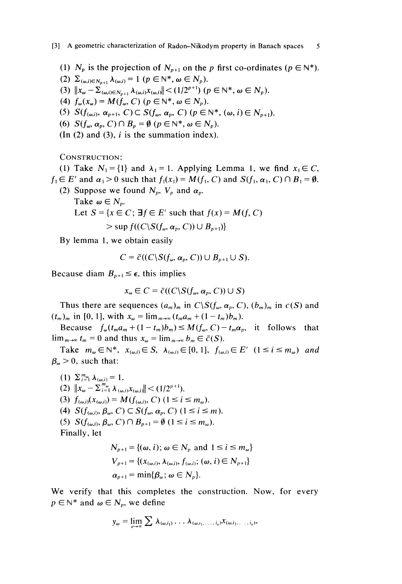(1)  $N_p$  is the projection of  $N_{p+1}$  on the p first co-ordinates ( $p \in \mathbb{N}^*$ ).<br>(2)  $\Sigma_{(\omega, i) \in N_{p+1}} \lambda_{(\omega, i)} = 1$  ( $p \in \mathbb{N}^*, \omega \in N_p$ ).

5

- 
- (3)  $||x_{\omega} \Sigma_{(\omega, i) \in N_{n+1}} \lambda_{(\omega, i)} x_{(\omega, i)}|| < (1/2^{p+1}) \ (p \in \mathbb{N}^*, \omega \in N_p).$
- (4)  $f_{\omega}(x_{\omega}) = M(f_{\omega}, C)$   $(p \in \mathbb{N}^*, \omega \in N_p)$ .
- (5)  $S(f_{(\omega,i)}, \alpha_{p+1}, C) \subset S(f_{\omega}, \alpha_p, C)$   $(p \in \mathbb{N}^*, (\omega, i) \in N_{p+1}).$
- (6)  $S(f_{\omega}, \alpha_p, C) \cap B_p = \emptyset$   $(p \in \mathbb{N}^*, \omega \in N_p)$ .
- $(In (2) and (3), i is the summation index).$

CONSTRUCTION:

(1) Take  $N_1 = \{1\}$  and  $\lambda_1 = 1$ . Applying Lemma 1, we find  $x_1 \in C$ ,  $f_1 \in E'$  and  $\alpha_1 > 0$  such that  $f_1(x_1) = M(f_1, C)$  and  $S(f_1, \alpha_1, C) \cap B_1 = \emptyset$ .

- (2) Suppose we found  $N_p$ ,  $V_p$  and  $\alpha_p$ .<br>Take  $\omega \in N_p$ .
	- Let  $S = \{x \in C : \exists f \in E' \text{ such that } f(x) = M(f, C)\}$  $>$ sup  $f((C\setminus S(f_n, \alpha_n, C))\cup B_{n+1})$

By lemma 1, we obtain easily

$$
C = \bar{c}((C \setminus S(f_{\omega}, \alpha_p, C)) \cup B_{p+1} \cup S).
$$

Because diam  $B_{p+1} \leq \epsilon$ , this implies

$$
x_{\omega} \in C = \bar{c}((C \backslash S(f_{\omega}, \alpha_p, C)) \cup S)
$$

Thus there are sequences  $(a_m)_m$  in  $C\setminus S(f_\omega, \alpha_p, C)$ ,  $(b_m)_m$  in  $c(S)$  and  $(t_m)_m$  in [0, 1], with  $x_\omega = \lim_{m \to \infty} (t_m a_m + (1 - t_m) b_m)$ .

Because  $f_{\omega}(t_m a_m + (1 - t_m) b_m) \leq M(f_{\omega}, C) - t_m \alpha_p$ , it follows that  $\lim_{m\to\infty} t_m = 0$  and thus  $x_{\omega} = \lim_{m\to\infty} b_m \in \bar{c}(S)$ .

Take  $m_{\omega} \in \mathbb{N}^*$ ,  $x_{(\omega,i)} \in S$ ,  $\lambda_{(\omega,i)} \in [0,1]$ ,  $f_{(\omega,i)} \in E'$   $(1 \le i \le m_{\omega})$  and  $\beta_{\omega} > 0$ , such that:

- (1)  $\sum_{i=1}^{m_{\omega}} \lambda_{(\omega,i)} = 1$ .
- (2)  $||x_{\omega} \sum_{i=1}^{m_{\omega}} \lambda_{(\omega,i)} x_{(\omega,i)}|| < (1/2^{p+1}).$
- (3)  $f_{(\omega,i)}(x_{(\omega,i)}) = M(f_{(\omega,i)}, C)$   $(1 \le i \le m_\omega)$ .
- (4)  $S(f_{(\omega,i)}, \beta_{\omega}, C) \subset S(f_{\omega}, \alpha_{p}, C)$   $(1 \leq i \leq m)$ .
- (5)  $S(f_{(\omega,i)}, \beta_{\omega}, C) \cap B_{p+1} = \emptyset$   $(1 \le i \le m_{\omega}).$

Finally, let

$$
N_{p+1} = \{(\omega, i); \omega \in N_p \text{ and } 1 \le i \le m_\omega\}
$$
  
\n
$$
V_{p+1} = \{(x_{(\omega,i)}, \lambda_{(\omega,i)}, f_{(\omega,i)}; (\omega, i) \in N_{p+1}\}
$$
  
\n
$$
\alpha_{p+1} = \min\{\beta_\omega; \omega \in N_p\}.
$$

We verify that this completes the construction. Now, for every  $p \in \mathbb{N}^*$  and  $\omega \in N_p$ , we define

$$
y_{\omega} = \lim_{\nu \to \infty} \sum \lambda_{(\omega, i_1)} \ldots \lambda_{(\omega, i_1, \ldots, i_{\nu})} x_{(\omega, i_1, \ldots, i_{\nu})},
$$